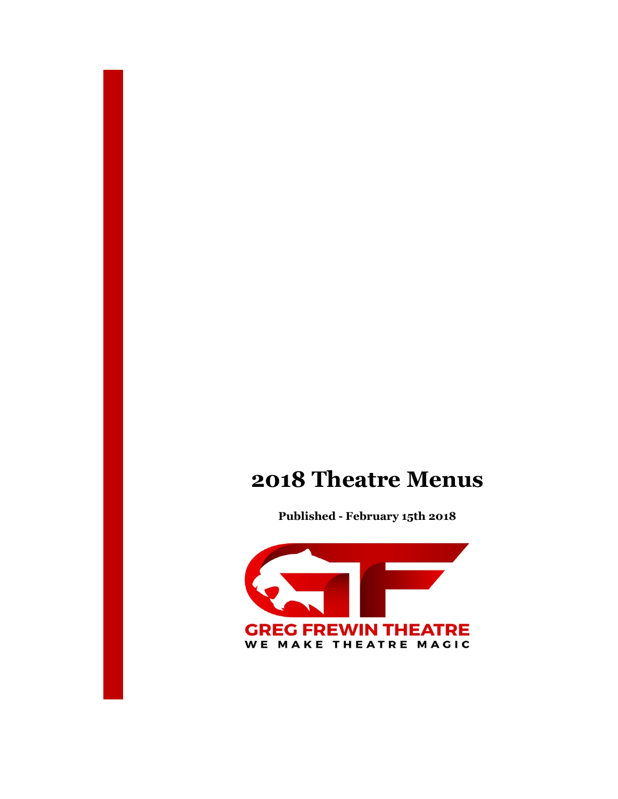# 2018 Theatre Menus

Published - February 15th 2018

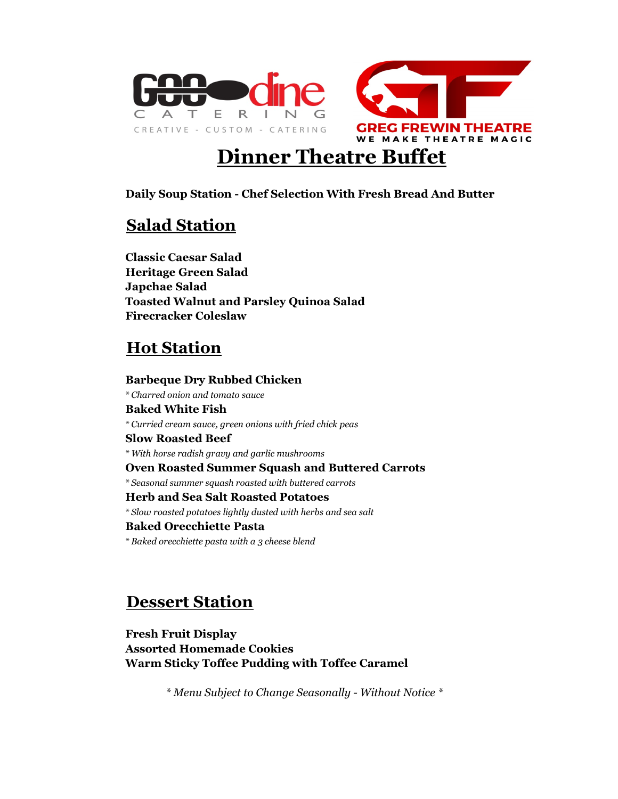

# Dinner Theatre Buffet

Daily Soup Station - Chef Selection With Fresh Bread And Butter

#### Salad Station

Toasted Walnut and Parsley Quinoa Salad Firecracker Coleslaw Classic Caesar Salad Heritage Green Salad Japchae Salad

# **Hot Station**

Barbeque Dry Rubbed Chicken \* Charred onion and tomato sauce Baked White Fish \* Curried cream sauce, green onions with fried chick peas Herb and Sea Salt Roasted Potatoes \* Slow roasted potatoes lightly dusted with herbs and sea salt Slow Roasted Beef \* With horse radish gravy and garlic mushrooms Oven Roasted Summer Squash and Buttered Carrots \* Seasonal summer squash roasted with buttered carrots Baked Orecchiette Pasta \* Baked orecchiette pasta with a 3 cheese blend

#### Dessert Station

Assorted Homemade Cookies Warm Sticky Toffee Pudding with Toffee Caramel Fresh Fruit Display

\* Menu Subject to Change Seasonally - Without Notice \*